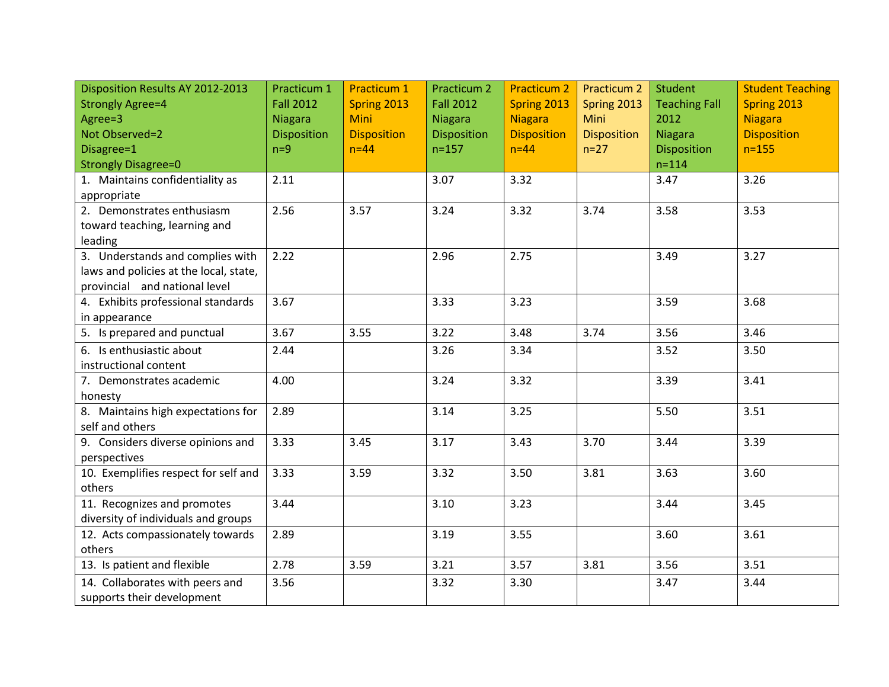| Disposition Results AY 2012-2013       | Practicum 1        | <b>Practicum 1</b> | <b>Practicum 2</b> | <b>Practicum 2</b> | <b>Practicum 2</b> | <b>Student</b>       | <b>Student Teaching</b> |
|----------------------------------------|--------------------|--------------------|--------------------|--------------------|--------------------|----------------------|-------------------------|
| <b>Strongly Agree=4</b>                | <b>Fall 2012</b>   | Spring 2013        | <b>Fall 2012</b>   | Spring 2013        | Spring 2013        | <b>Teaching Fall</b> | Spring 2013             |
| Agree=3                                | <b>Niagara</b>     | <b>Mini</b>        | <b>Niagara</b>     | <b>Niagara</b>     | Mini               | 2012                 | <b>Niagara</b>          |
| Not Observed=2                         | <b>Disposition</b> | <b>Disposition</b> | <b>Disposition</b> | <b>Disposition</b> | <b>Disposition</b> | <b>Niagara</b>       | <b>Disposition</b>      |
| Disagree=1                             | $n=9$              | $n=44$             | $n = 157$          | $n=44$             | $n=27$             | Disposition          | $n = 155$               |
| <b>Strongly Disagree=0</b>             |                    |                    |                    |                    |                    | $n = 114$            |                         |
| 1. Maintains confidentiality as        | 2.11               |                    | 3.07               | 3.32               |                    | 3.47                 | 3.26                    |
| appropriate                            |                    |                    |                    |                    |                    |                      |                         |
| 2. Demonstrates enthusiasm             | 2.56               | 3.57               | 3.24               | 3.32               | 3.74               | 3.58                 | 3.53                    |
| toward teaching, learning and          |                    |                    |                    |                    |                    |                      |                         |
| leading                                |                    |                    |                    |                    |                    |                      |                         |
| 3. Understands and complies with       | 2.22               |                    | 2.96               | 2.75               |                    | 3.49                 | 3.27                    |
| laws and policies at the local, state, |                    |                    |                    |                    |                    |                      |                         |
| provincial and national level          |                    |                    |                    |                    |                    |                      |                         |
| 4. Exhibits professional standards     | 3.67               |                    | 3.33               | 3.23               |                    | 3.59                 | 3.68                    |
| in appearance                          |                    |                    |                    |                    |                    |                      |                         |
| 5. Is prepared and punctual            | 3.67               | 3.55               | 3.22               | 3.48               | 3.74               | 3.56                 | 3.46                    |
| 6. Is enthusiastic about               | 2.44               |                    | 3.26               | 3.34               |                    | 3.52                 | 3.50                    |
| instructional content                  |                    |                    |                    |                    |                    |                      |                         |
| 7. Demonstrates academic               | 4.00               |                    | 3.24               | 3.32               |                    | 3.39                 | 3.41                    |
| honesty                                |                    |                    |                    |                    |                    |                      |                         |
| 8. Maintains high expectations for     | 2.89               |                    | 3.14               | 3.25               |                    | 5.50                 | 3.51                    |
| self and others                        |                    |                    |                    |                    |                    |                      |                         |
| 9. Considers diverse opinions and      | 3.33               | 3.45               | 3.17               | 3.43               | 3.70               | 3.44                 | 3.39                    |
| perspectives                           |                    |                    |                    |                    |                    |                      |                         |
| 10. Exemplifies respect for self and   | 3.33               | 3.59               | 3.32               | 3.50               | 3.81               | 3.63                 | 3.60                    |
| others                                 |                    |                    |                    |                    |                    |                      |                         |
| 11. Recognizes and promotes            | 3.44               |                    | 3.10               | 3.23               |                    | 3.44                 | 3.45                    |
| diversity of individuals and groups    |                    |                    |                    |                    |                    |                      |                         |
| 12. Acts compassionately towards       | 2.89               |                    | 3.19               | 3.55               |                    | 3.60                 | 3.61                    |
| others                                 |                    |                    |                    |                    |                    |                      |                         |
| 13. Is patient and flexible            | 2.78               | 3.59               | 3.21               | 3.57               | 3.81               | 3.56                 | 3.51                    |
| 14. Collaborates with peers and        | 3.56               |                    | 3.32               | 3.30               |                    | 3.47                 | 3.44                    |
| supports their development             |                    |                    |                    |                    |                    |                      |                         |